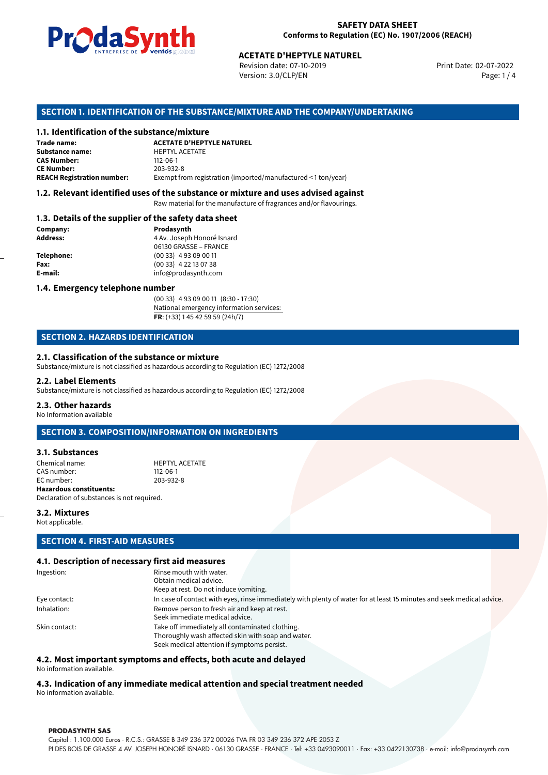

Revision date: 07-10-2019 Version: 3.0/CLP/EN Page: 1 / 4

Print Date: 02-07-2022

# **ACETATE D'HEPTYLE NATUREL<br>
Revision date: 07-10-2019<br>
Version: 3.0/CLP/EN<br>
<b>OF THE SUBSTANCE/MIXTURE AND THE COMPANY/U**<br> **tance/mixture**<br>
ACETATE D'HEPTYLE NATUREL **SECTION 1. IDENTIFICATION OF THE SUBSTANCE/MIXTURE AND THE COMPANY/UNDERTAKING**

### **1.1. Identification of the substance/mixture**

| Trade name:                       | <b>ACETATE D'HEPTYLE NATUREL</b>                              |
|-----------------------------------|---------------------------------------------------------------|
| Substance name:                   | <b>HEPTYL ACETATE</b>                                         |
| <b>CAS Number:</b>                | $112 - 06 - 1$                                                |
| <b>CE Number:</b>                 | 203-932-8                                                     |
| <b>REACH Registration number:</b> | Exempt from registration (imported/manufactured < 1 ton/year) |

### **1.2. Relevant identified uses of the substance or mixture and uses advised against**

Raw material for the manufacture of fragrances and/or flavourings.

### **1.3. Details of the supplier of the safety data sheet**

| Company:          | Prodasynth                 |  |
|-------------------|----------------------------|--|
| <b>Address:</b>   | 4 Av. Joseph Honoré Isnard |  |
|                   | 06130 GRASSE - FRANCE      |  |
| <b>Telephone:</b> | $(0033)$ 4 93 09 00 11     |  |
| Fax:              | $(0033)$ 4 22 13 07 38     |  |
| E-mail:           | info@prodasynth.com        |  |
|                   |                            |  |

### **1.4. Emergency telephone number**

(00 33) 4 93 09 00 11 (8:30 - 17:30) National emergency information services: **FR**: (+33) 1 45 42 59 59 (24h/7)

### **SECTION 2. HAZARDS IDENTIFICATION**

### **2.1. Classification of the substance or mixture**

Substance/mixture is not classified as hazardous according to Regulation (EC) 1272/2008

### **2.2. Label Elements**

Substance/mixture is not classified as hazardous according to Regulation (EC) 1272/2008

### **2.3. Other hazards**

No Information available

### **SECTION 3. COMPOSITION/INFORMATION ON INGREDIENTS**

### **3.1. Substances**

| <b>Hazardous constituents:</b> |                       |
|--------------------------------|-----------------------|
| EC number:                     | 203-932-8             |
| CAS number:                    | $112 - 06 - 1$        |
| Chemical name:                 | <b>HEPTYL ACETATE</b> |

Declaration of substances is not required.

### **3.2. Mixtures**

Not applicable.

### **SECTION 4. FIRST-AID MEASURES**

### **4.1. Description of necessary first aid measures**

| Ingestion:    | Rinse mouth with water.                                                                                               |
|---------------|-----------------------------------------------------------------------------------------------------------------------|
|               | Obtain medical advice.                                                                                                |
|               | Keep at rest. Do not induce vomiting.                                                                                 |
| Eye contact:  | In case of contact with eyes, rinse immediately with plenty of water for at least 15 minutes and seek medical advice. |
| Inhalation:   | Remove person to fresh air and keep at rest.                                                                          |
|               | Seek immediate medical advice.                                                                                        |
| Skin contact: | Take off immediately all contaminated clothing.                                                                       |
|               | Thoroughly wash affected skin with soap and water.                                                                    |
|               | Seek medical attention if symptoms persist.                                                                           |
|               |                                                                                                                       |

### **4.2. Most important symptoms and effects, both acute and delayed**

No information available.

### **4.3. Indication of any immediate medical attention and special treatment needed**

No information available.

### **PRODASYNTH SAS**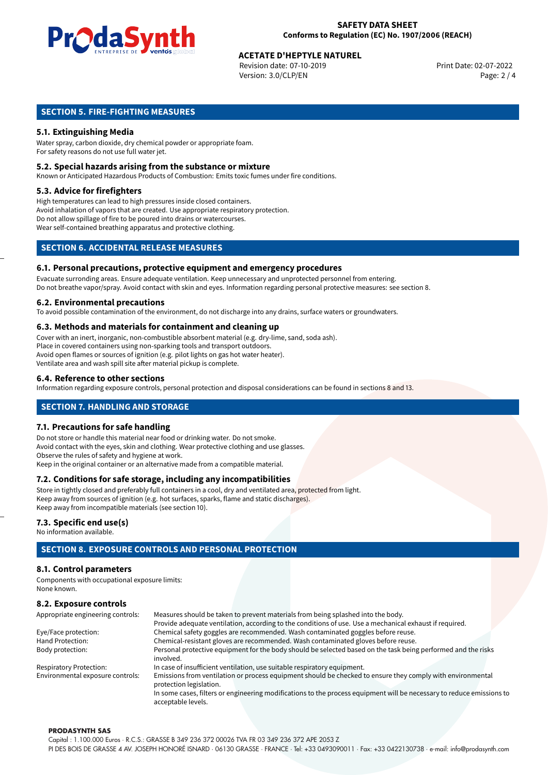

## **ACETATE D'HEPTYLE NATUREL<br>
Revision date: 07-10-2019** Print Date: 02-07-2022

Revision date: 07-10-2019 Version: 3.0/CLP/EN Page: 2 / 4

### **SECTION 5. FIRE-FIGHTING MEASURES**

### **5.1. Extinguishing Media**

Water spray, carbon dioxide, dry chemical powder or appropriate foam. For safety reasons do not use full water jet.

### **5.2. Special hazards arising from the substance or mixture**

Known or Anticipated Hazardous Products of Combustion: Emits toxic fumes under fire conditions.

### **5.3. Advice for firefighters**

High temperatures can lead to high pressures inside closed containers. Avoid inhalation of vapors that are created. Use appropriate respiratory protection. Do not allow spillage of fire to be poured into drains or watercourses. Wear self-contained breathing apparatus and protective clothing.

### **SECTION 6. ACCIDENTAL RELEASE MEASURES**

### **6.1. Personal precautions, protective equipment and emergency procedures**

Evacuate surronding areas. Ensure adequate ventilation. Keep unnecessary and unprotected personnel from entering. Do not breathe vapor/spray. Avoid contact with skin and eyes. Information regarding personal protective measures: see section 8.

### **6.2. Environmental precautions**

To avoid possible contamination of the environment, do not discharge into any drains, surface waters or groundwaters.

### **6.3. Methods and materials for containment and cleaning up**

Cover with an inert, inorganic, non-combustible absorbent material (e.g. dry-lime, sand, soda ash). Place in covered containers using non-sparking tools and transport outdoors. Avoid open flames or sources of ignition (e.g. pilot lights on gas hot water heater). Ventilate area and wash spill site after material pickup is complete.

### **6.4. Reference to other sections**

Information regarding exposure controls, personal protection and disposal considerations can be found in sections 8 and 13.

### **SECTION 7. HANDLING AND STORAGE**

### **7.1. Precautions for safe handling**

Do not store or handle this material near food or drinking water. Do not smoke. Avoid contact with the eyes, skin and clothing. Wear protective clothing and use glasses. Observe the rules of safety and hygiene at work. Keep in the original container or an alternative made from a compatible material.

### **7.2. Conditions for safe storage, including any incompatibilities**

Store in tightly closed and preferably full containers in a cool, dry and ventilated area, protected from light. Keep away from sources of ignition (e.g. hot surfaces, sparks, flame and static discharges). Keep away from incompatible materials (see section 10).

### **7.3. Specific end use(s)**

No information available.

### **SECTION 8. EXPOSURE CONTROLS AND PERSONAL PROTECTION**

### **8.1. Control parameters**

Components with occupational exposure limits: None known.

### **8.2. Exposure controls**

| Appropriate engineering controls: | Measures should be taken to prevent materials from being splashed into the body.                                                            |  |  |
|-----------------------------------|---------------------------------------------------------------------------------------------------------------------------------------------|--|--|
|                                   | Provide adequate ventilation, according to the conditions of use. Use a mechanical exhaust if required.                                     |  |  |
| Eye/Face protection:              | Chemical safety goggles are recommended. Wash contaminated goggles before reuse.                                                            |  |  |
| Hand Protection:                  | Chemical-resistant gloves are recommended. Wash contaminated gloves before reuse.                                                           |  |  |
| Body protection:                  | Personal protective equipment for the body should be selected based on the task being performed and the risks                               |  |  |
|                                   | involved.                                                                                                                                   |  |  |
| <b>Respiratory Protection:</b>    | In case of insufficient ventilation, use suitable respiratory equipment.                                                                    |  |  |
| Environmental exposure controls:  | Emissions from ventilation or process equipment should be checked to ensure they comply with environmental<br>protection legislation.       |  |  |
|                                   | In some cases, filters or engineering modifications to the process equipment will be necessary to reduce emissions to<br>acceptable levels. |  |  |

#### **PRODASYNTH SAS**

Capital : 1.100.000 Euros · R.C.S.: GRASSE B 349 236 372 00026 TVA FR 03 349 236 372 APE 2053 Z PI DES BOIS DE GRASSE 4 AV. JOSEPH HONORÉ ISNARD · 06130 GRASSE · FRANCE · Tel: +33 0493090011 · Fax: +33 0422130738 · e-mail: info@prodasynth.com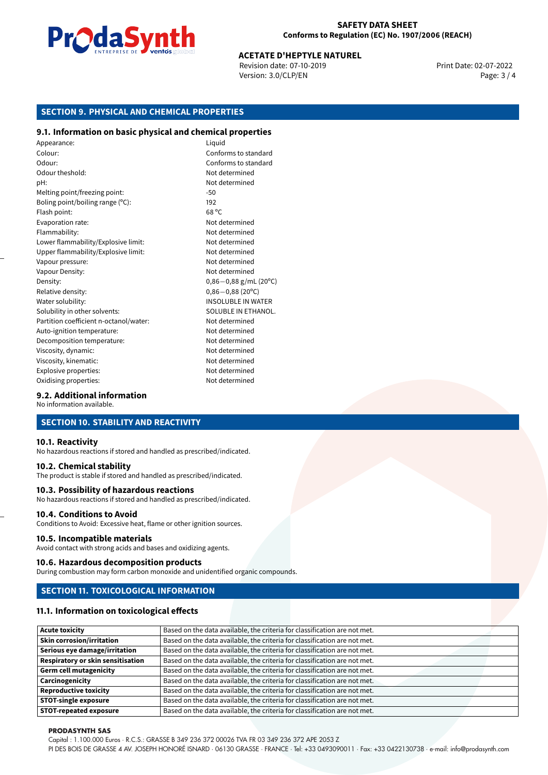

### **SAFETY DATA SHEET Conforms to Regulation (EC) No. 1907/2006 (REACH)**

## **ACETATE D'HEPTYLE NATUREL<br>
Revision date: 07-10-2019** Print Date: 02-07-2022

Revision date: 07-10-2019 Version: 3.0/CLP/EN Page: 3 / 4

### **SECTION 9. PHYSICAL AND CHEMICAL PROPERTIES**

### **9.1. Information on basic physical and chemical properties**

Appearance: Liquid Colour: Conforms to standard Odour: Conforms to standard Odour theshold: Not determined pH: Not determined Melting point/freezing point:  $-50$ Boling point/boiling range (°C): 192 Flash point: 68 ºC Evaporation rate: Not determined Flammability: Not determined Lower flammability/Explosive limit: Not determined Upper flammability/Explosive limit: Not determined Vapour pressure: Vapour pressure: Not determined Vapour Density: Not determined Density: 0,86−0,88 g/mL (20°C)<br>Relative density: 0,86−0,88 (20°C) Relative density:<br>Water solubility: Solubility in other solvents: SOLUBLE IN ETHANOL. Partition coefficient n-octanol/water: Not determined Auto-ignition temperature: Not determined Decomposition temperature: Not determined Viscosity, dynamic:  $\blacksquare$ Viscosity, kinematic: Not determined Explosive properties: Not determined Oxidising properties: Not determined

**INSOLUBLE IN WATER** 

### **9.2. Additional information**

No information available.

### **SECTION 10. STABILITY AND REACTIVITY**

### **10.1. Reactivity**

No hazardous reactions if stored and handled as prescribed/indicated.

### **10.2. Chemical stability**

The product is stable if stored and handled as prescribed/indicated.

### **10.3. Possibility of hazardous reactions**

No hazardous reactions if stored and handled as prescribed/indicated.

### **10.4. Conditions to Avoid**

Conditions to Avoid: Excessive heat, flame or other ignition sources.

### **10.5. Incompatible materials**

Avoid contact with strong acids and bases and oxidizing agents.

### **10.6. Hazardous decomposition products**

During combustion may form carbon monoxide and unidentified organic compounds.

### **SECTION 11. TOXICOLOGICAL INFORMATION**

### **11.1. Information on toxicological effects**

| <b>Acute toxicity</b>                    | Based on the data available, the criteria for classification are not met. |
|------------------------------------------|---------------------------------------------------------------------------|
| <b>Skin corrosion/irritation</b>         | Based on the data available, the criteria for classification are not met. |
| Serious eye damage/irritation            | Based on the data available, the criteria for classification are not met. |
| <b>Respiratory or skin sensitisation</b> | Based on the data available, the criteria for classification are not met. |
| <b>Germ cell mutagenicity</b>            | Based on the data available, the criteria for classification are not met. |
| Carcinogenicity                          | Based on the data available, the criteria for classification are not met. |
| <b>Reproductive toxicity</b>             | Based on the data available, the criteria for classification are not met. |
| <b>STOT-single exposure</b>              | Based on the data available, the criteria for classification are not met. |
| <b>STOT-repeated exposure</b>            | Based on the data available, the criteria for classification are not met. |

#### **PRODASYNTH SAS**

Capital : 1.100.000 Euros · R.C.S.: GRASSE B 349 236 372 00026 TVA FR 03 349 236 372 APE 2053 Z

PI DES BOIS DE GRASSE 4 AV. JOSEPH HONORÉ ISNARD · 06130 GRASSE · FRANCE · Tel: +33 0493090011 · Fax: +33 0422130738 · e-mail: info@prodasynth.com